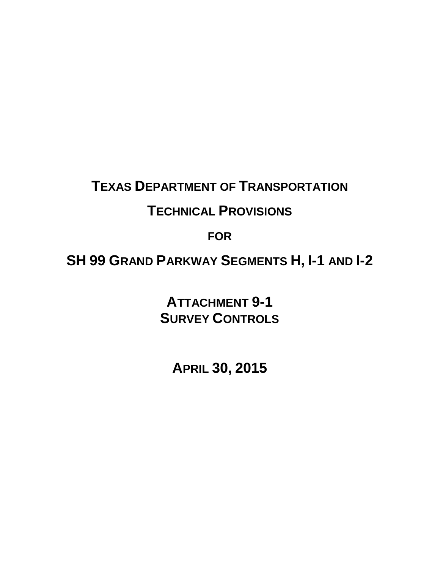# **TEXAS DEPARTMENT OF TRANSPORTATION**

# **TECHNICAL PROVISIONS**

**FOR**

**SH 99 GRAND PARKWAY SEGMENTS H, I-1 AND I-2** 

**ATTACHMENT 9-1 SURVEY CONTROLS**

**APRIL 30, 2015**